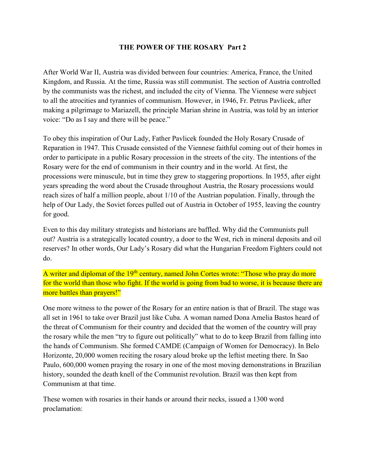## THE POWER OF THE ROSARY Part 2

After World War II, Austria was divided between four countries: America, France, the United Kingdom, and Russia. At the time, Russia was still communist. The section of Austria controlled by the communists was the richest, and included the city of Vienna. The Viennese were subject to all the atrocities and tyrannies of communism. However, in 1946, Fr. Petrus Pavlicek, after making a pilgrimage to Mariazell, the principle Marian shrine in Austria, was told by an interior voice: "Do as I say and there will be peace."

To obey this inspiration of Our Lady, Father Pavlicek founded the Holy Rosary Crusade of Reparation in 1947. This Crusade consisted of the Viennese faithful coming out of their homes in order to participate in a public Rosary procession in the streets of the city. The intentions of the Rosary were for the end of communism in their country and in the world. At first, the processions were minuscule, but in time they grew to staggering proportions. In 1955, after eight years spreading the word about the Crusade throughout Austria, the Rosary processions would reach sizes of half a million people, about 1/10 of the Austrian population. Finally, through the help of Our Lady, the Soviet forces pulled out of Austria in October of 1955, leaving the country for good.

Even to this day military strategists and historians are baffled. Why did the Communists pull out? Austria is a strategically located country, a door to the West, rich in mineral deposits and oil reserves? In other words, Our Lady's Rosary did what the Hungarian Freedom Fighters could not do.

A writer and diplomat of the 19<sup>th</sup> century, named John Cortes wrote: "Those who pray do more for the world than those who fight. If the world is going from bad to worse, it is because there are more battles than prayers!"

One more witness to the power of the Rosary for an entire nation is that of Brazil. The stage was all set in 1961 to take over Brazil just like Cuba. A woman named Dona Amelia Bastos heard of the threat of Communism for their country and decided that the women of the country will pray the rosary while the men "try to figure out politically" what to do to keep Brazil from falling into the hands of Communism. She formed CAMDE (Campaign of Women for Democracy). In Belo Horizonte, 20,000 women reciting the rosary aloud broke up the leftist meeting there. In Sao Paulo, 600,000 women praying the rosary in one of the most moving demonstrations in Brazilian history, sounded the death knell of the Communist revolution. Brazil was then kept from Communism at that time.

These women with rosaries in their hands or around their necks, issued a 1300 word proclamation: